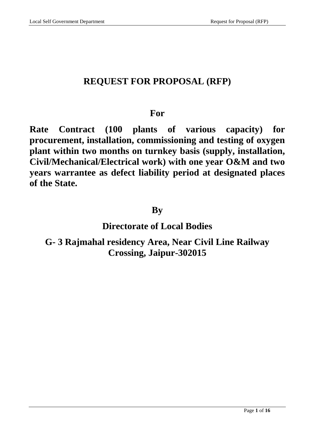# **REQUEST FOR PROPOSAL (RFP)**

## **For**

**Rate Contract (100 plants of various capacity) for procurement, installation, commissioning and testing of oxygen plant within two months on turnkey basis (supply, installation, Civil/Mechanical/Electrical work) with one year O&M and two years warrantee as defect liability period at designated places of the State.**

## **By**

## **Directorate of Local Bodies**

# **G- 3 Rajmahal residency Area, Near Civil Line Railway Crossing, Jaipur-302015**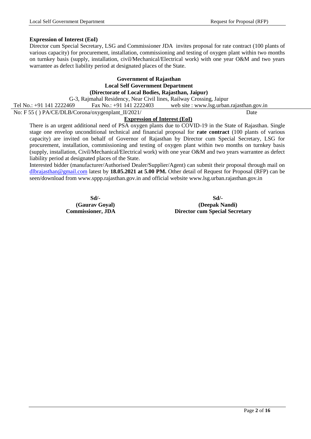#### **Expression of Interest (EoI)**

Director cum Special Secretary, LSG and Commissioner JDA invites proposal for rate contract (100 plants of various capacity) for procurement, installation, commissioning and testing of oxygen plant within two months on turnkey basis (supply, installation, civil/Mechanical/Electrical work) with one year O&M and two years warrantee as defect liability period at designated places of the State.

### **Government of Rajasthan Local Self Government Department (Directorate of Local Bodies, Rajasthan, Jaipur)**

G-3, Rajmahal Residency, Near Civil lines, Railway Crossing, Jaipur

Tel No.: +91 141 2222469 Fax No.: +91 141 2222403 web site : www.lsg.urban.rajasthan.gov.in

No: F 55 () PA/CE/DLB/Corona/oxygenplant\_II/2021/ Date

### **Expression of Interest (EoI)**

There is an urgent additional need of PSA oxygen plants due to COVID-19 in the State of Rajasthan. Single stage one envelop unconditional technical and financial proposal for **rate contract** (100 plants of various capacity) are invited on behalf of Governor of Rajasthan by Director cum Special Secretary, LSG for procurement, installation, commissioning and testing of oxygen plant within two months on turnkey basis (supply, installation, Civil/Mechanical/Electrical work) with one year O&M and two years warrantee as defect liability period at designated places of the State.

Interested bidder (manufacturer/Authorised Dealer/Supplier/Agent) can submit their proposal through mail on [dlbrajasthan@gmail.com](mailto:dlbrajasthan@gmail.com) latest by **18.05.2021 at 5.00 PM.** Other detail of Request for Proposal (RFP) can be seen/download from www.sppp.rajasthan.gov.in and official website www.lsg.urban.rajasthan.gov.in

**Sd/- Sd/- (Gaurav Goyal) (Deepak Nandi) Commissioner, JDA Director cum Special Secretary**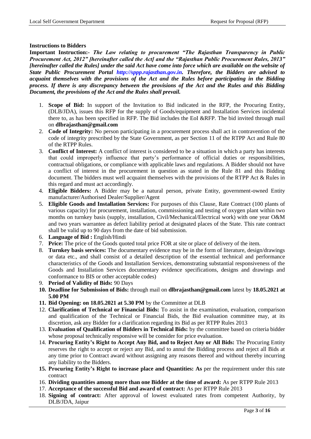#### **Instructions to Bidders**

**Important Instruction:-** *The Law relating to procurement "The Rajasthan Transparency in Public Procurement Act, 2012" [hereinafter called the Act] and the "Rajasthan Public Procurement Rules, 2013" [hereinafter called the Rules] under the said Act have come into force which are available on the website of State Public Procurement Portal http://sppp.rajasthan.gov.in. Therefore, the Bidders are advised to acquaint themselves with the provisions of the Act and the Rules before participating in the Bidding process. If there is any discrepancy between the provisions of the Act and the Rules and this Bidding Document, the provisions of the Act and the Rules shall prevail.*

- 1. **Scope of Bid:** In support of the Invitation to Bid indicated in the RFP, the Procuring Entity, (DLB/JDA), issues this RFP for the supply of Goods/equipment and Installation Services incidental there to, as has been specified in RFP. The Bid includes the EoI &RFP. The bid invited through mail on **[dlbrajasthan@gmail.com](mailto:dlbrajasthan@gmail.com)**
- 2. **Code of Integrity:** No person participating in a procurement process shall act in contravention of the code of integrity prescribed by the State Government, as per Section 11 of the RTPP Act and Rule 80 of the RTPP Rules.
- 3. **Conflict of Interest:** A conflict of interest is considered to be a situation in which a party has interests that could improperly influence that party"s performance of official duties or responsibilities, contractual obligations, or compliance with applicable laws and regulations. A Bidder should not have a conflict of interest in the procurement in question as stated in the Rule 81 and this Bidding document. The bidders must well acquaint themselves with the provisions of the RTPP Act & Rules in this regard and must act accordingly.
- 4. **Eligible Bidders:** A Bidder may be a natural person, private Entity, government-owned Entity manufacturer/Authorised Dealer/Supplier/Agent
- 5. **Eligible Goods and Installation Services:** For purposes of this Clause, Rate Contract (100 plants of various capacity) for procurement, installation, commissioning and testing of oxygen plant within two months on turnkey basis (supply, installation, Civil/Mechanical/Electrical work) with one year O&M and two years warrantee as defect liability period at designated places of the State. This rate contract shall be valid up to 90 days from the date of bid submission.
- 6. **Language of Bid :** English/Hindi
- 7. **Price:** The price of the Goods quoted total price FOR at site or place of delivery of the item.
- 8. **Turnkey basis services:** The documentary evidence may be in the form of literature, design/drawings or data etc., and shall consist of a detailed description of the essential technical and performance characteristics of the Goods and Installation Services, demonstrating substantial responsiveness of the Goods and Installation Services documentary evidence specifications, designs and drawings and conformance to BIS or other acceptable codes)
- 9. **Period of Validity of Bids:** 90 Days
- **10. Deadline for Submission of Bids:** through mail on **[dlbrajasthan@gmail.com](mailto:dlbrajasthan@gmail.com)** latest by **18.05.2021 at 5.00 PM**
- **11. Bid Opening: on 18.05.2021 at 5.30 PM** by the Committee at DLB
- 12. **Clarification of Technical or Financial Bids:** To assist in the examination, evaluation, comparison and qualification of the Technical or Financial Bids, the Bid evaluation committee may, at its discretion, ask any Bidder for a clarification regarding its Bid as per RTPP Rules 2013
- 13. **Evaluation of Qualification of Bidders in Technical Bids:** by the committee based on criteria bidder whose proposal technically responsive will be consider for price evaluation.
- 14. **Procuring Entity's Right to Accept Any Bid, and to Reject Any or All Bids:** The Procuring Entity reserves the right to accept or reject any Bid, and to annul the Bidding process and reject all Bids at any time prior to Contract award without assigning any reasons thereof and without thereby incurring any liability to the Bidders.
- **15. Procuring Entity's Right to increase place and Quantities: As** per the requirement under this rate contract
- 16. **Dividing quantities among more than one Bidder at the time of award:** As per RTPP Rule 2013
- 17. **Acceptance of the successful Bid and award of contract:** As per RTPP Rule 2013
- 18. **Signing of contract:** After approval of lowest evaluated rates from competent Authority, by DLB/JDA, Jaipur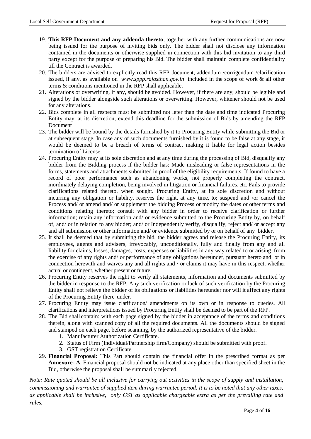- 19. **This RFP Document and any addenda thereto**, together with any further communications are now being issued for the purpose of inviting bids only. The bidder shall not disclose any information contained in the documents or otherwise supplied in connection with this bid invitation to any third party except for the purpose of preparing his Bid. The bidder shall maintain complete confidentiality till the Contract is awarded.
- 20. The bidders are advised to explicitly read this RFP document, addendum /corrigendum /clarification issued, if any, as available on *[www.sppp.rajasthan.gov.in](http://www.sppp.rajasthan.gov.in/)* included in the scope of work & all other terms & conditions mentioned in the RFP shall applicable.
- 21. Alterations or overwriting, if any, should be avoided. However, if there are any, should be legible and signed by the bidder alongside such alterations or overwriting. However, whitener should not be used for any alterations.
- 22. Bids complete in all respects must be submitted not later than the date and time indicated Procuring Entity may, at its discretion, extend this deadline for the submission of Bids by amending the RFP Document
- 23. The bidder will be bound by the details furnished by it to Procuring Entity while submitting the Bid or at subsequent stage. In case any of such documents furnished by it is found to be false at any stage, it would be deemed to be a breach of terms of contract making it liable for legal action besides termination of License.
- 24. Procuring Entity may at its sole discretion and at any time during the processing of Bid, disqualify any bidder from the Bidding process if the bidder has: Made misleading or false representations in the forms, statements and attachments submitted in proof of the eligibility requirements. If found to have a record of poor performance such as abandoning works, not properly completing the contract, inordinately delaying completion, being involved in litigation or financial failures, etc. Fails to provide clarifications related thereto, when sought. Procuring Entity, at its sole discretion and without incurring any obligation or liability, reserves the right, at any time, to; suspend and /or cancel the Process and/ or amend and/ or supplement the bidding Process or modify the dates or other terms and conditions relating thereto; consult with any bidder in order to receive clarification or further information; retain any information and/ or evidence submitted to the Procuring Entity by, on behalf of, and/ or in relation to any bidder; and/ or Independently verify, disqualify, reject and/ or accept any and all submission or other information and/ or evidence submitted by or on behalf of any bidder.
- 25. It shall be deemed that by submitting the bid, the bidder agrees and release the Procuring Entity, its employees, agents and advisers, irrevocably, unconditionally, fully and finally from any and all liability for claims, losses, damages, costs, expenses or liabilities in any way related to or arising from the exercise of any rights and/ or performance of any obligations hereunder, pursuant hereto and: or in connection herewith and waives any and all rights and / or claims it may have in this respect, whether actual or contingent, whether present or future.
- 26. Procuring Entity reserves the right to verify all statements, information and documents submitted by the bidder in response to the RFP. Any such verification or lack of such verification by the Procuring Entity shall not relieve the bidder of its obligations or liabilities hereunder nor will it affect any rights of the Procuring Entity there under.
- 27. Procuring Entity may issue clarification/ amendments on its own or in response to queries. All clarifications and interpretations issued by Procuring Entity shall be deemed to be part of the RFP.
- 28. The Bid shall contain: with each page signed by the bidder in acceptance of the terms and conditions therein, along with scanned copy of all the required documents. All the documents should be signed and stamped on each page, before scanning, by the authorized representative of the bidder.
	- 1. Manufacturer Authorization Certificate.
	- 2. Status of Firm (Individual/Partnership firm/Company) should be submitted with proof.
	- 3. GST registration Certificate
- 29. **Financial Proposal:** This Part should contain the financial offer in the prescribed format as per **Annexure- A**. Financial proposal should not be indicated at any place other than specified sheet in the Bid, otherwise the proposal shall be summarily rejected.

*Note: Rate quoted should be all inclusive for carrying out activities in the scope of supply and installation, commissioning and warrantee of supplied item during warrantee period. It is to be noted that any other taxes, as applicable shall be inclusive, only GST as applicable chargeable extra as per the prevailing rate and rules.*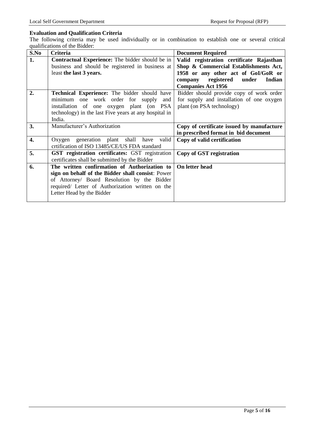### **Evaluation and Qualification Criteria**

The following criteria may be used individually or in combination to establish one or several critical qualifications of the Bidder:

| S.No | <b>Criteria</b>                                        | <b>Document Required</b>                  |  |
|------|--------------------------------------------------------|-------------------------------------------|--|
| 1.   | Contractual Experience: The bidder should be in        | Valid registration certificate Rajasthan  |  |
|      | business and should be registered in business at       | Shop & Commercial Establishments Act,     |  |
|      | least the last 3 years.                                | 1958 or any other act of GoI/GoR or       |  |
|      |                                                        | company registered<br>under<br>Indian     |  |
|      |                                                        | <b>Companies Act 1956</b>                 |  |
| 2.   | <b>Technical Experience:</b> The bidder should have    | Bidder should provide copy of work order  |  |
|      | minimum one work order for supply<br>and               | for supply and installation of one oxygen |  |
|      | installation of one oxygen plant (on PSA               | plant (on PSA technology)                 |  |
|      | technology) in the last Five years at any hospital in  |                                           |  |
|      | India.                                                 |                                           |  |
| 3.   | Manufacturer's Authorization                           | Copy of certificate issued by manufacture |  |
|      |                                                        | in prescribed format in bid document      |  |
| 4.   | Oxygen generation plant shall have<br>valid            | Copy of valid certification               |  |
|      | crtification of ISO 13485/CE/US FDA standard           |                                           |  |
| 5.   | <b>GST</b> registration certificates: GST registration | Copy of GST registration                  |  |
|      | certificates shall be submitted by the Bidder          |                                           |  |
| 6.   | The written confirmation of Authorization to           | On letter head                            |  |
|      | sign on behalf of the Bidder shall consist: Power      |                                           |  |
|      | of Attorney/ Board Resolution by the Bidder            |                                           |  |
|      | required/ Letter of Authorization written on the       |                                           |  |
|      | Letter Head by the Bidder                              |                                           |  |
|      |                                                        |                                           |  |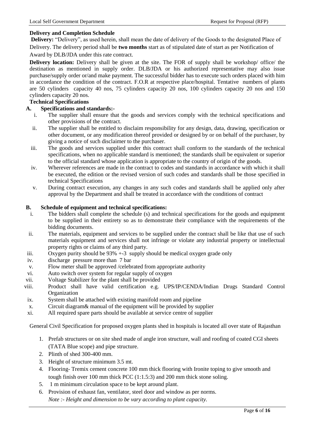### **Delivery and Completion Schedule**

**Delivery:** "Delivery", as used herein, shall mean the date of delivery of the Goods to the designated Place of Delivery. The delivery period shall be **two months** start as of stipulated date of start as per Notification of

Award by DLB/JDA under this rate contract.

**Delivery location:** Delivery shall be given at the site. The FOR of supply shall be workshop/ office/ the destination as mentioned in supply order. DLB/JDA or his authorized representative may also issue purchase/supply order or/and make payment. The successful bidder has to execute such orders placed with him in accordance the condition of the contract. F.O.R at respective place/hospital. Tentative numbers of plants are 50 cylinders capacity 40 nos, 75 cylinders capacity 20 nos, 100 cylinders capacity 20 nos and 150 cylinders capacity 20 nos.

## **Technical Specifications**

#### **A. Specifications and standards:-**

- i. The supplier shall ensure that the goods and services comply with the technical specifications and other provisions of the contract.
- ii. The supplier shall be entitled to disclaim responsibility for any design, data, drawing, specification or other document, or any modification thereof provided or designed by or on behalf of the purchaser, by giving a notice of such disclaimer to the purchaser.
- iii. The goods and services supplied under this contract shall conform to the standards of the technical specifications, when no applicable standard is mentioned; the standards shall be equivalent or superior to the official standard whose application is appropriate to the country of origin of the goods.
- iv. Wherever references are made in the contract to codes and standards in accordance with which it shall be executed, the edition or the revised version of such codes and standards shall be those specified in technical Specifications
- v. During contract execution, any changes in any such codes and standards shall be applied only after approval by the Department and shall be treated in accordance with the conditions of contract

#### **B. Schedule of equipment and technical specifications:**

- i. The bidders shall complete the schedule (s) and technical specifications for the goods and equipment to be supplied in their entirety so as to demonstrate their compliance with the requirements of the bidding documents.
- ii. The materials, equipment and services to be supplied under the contract shall be like that use of such materials equipment and services shall not infringe or violate any industrial property or intellectual property rights or claims of any third party.
- iii. Oxygen purity should be 93% +-3 supply should be medical oxygen grade only
- iv. discharge pressure more than 7 bar
- v. Flow meter shall be approved /celebrated from appropriate authority
- vi. Auto switch over system for regular supply of oxygen
- vii. Voltage Stabilizer for the plant shall be provided
- viii. Product shall have valid certification e.g. UPS/IP/CENDA/Indian Drugs Standard Control **Organization**
- ix. System shall be attached with existing manifold room and pipeline
- x. Circuit diagram& manual of the equipment will be provided by supplier
- xi. All required spare parts should be available at service centre of supplier

General Civil Specification for proposed oxygen plants shed in hospitals is located all over state of Rajasthan

- 1. Prefab structures or on site shed made of angle iron structure, wall and roofing of coated CGI sheets (TATA Blue scope) and pipe structure.
- 2. Plinth of shed 300-400 mm.
- 3. Height of structure minimum 3.5 mt.
- 4. Flooring- Tremix cement concrete 100 mm thick flooring with Ironite toping to give smooth and tough finish over 100 mm thick PCC (1:1.5:3) and 200 mm thick stone soling.
- 5. 1 m minimum circulation space to be kept around plant.
- 6. Provision of exhaust fan, ventilator, steel door and window as per norms. *Note :- Height and dimension to be vary according to plant capacity.*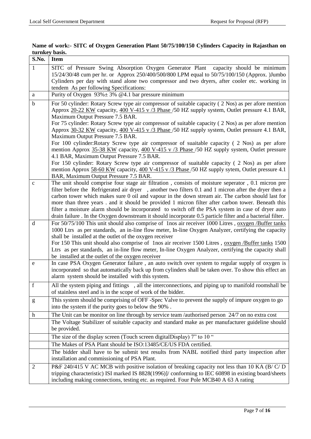| S.No.       | <b>Item</b>                                                                                                                                                                                                                                                                                                                                     |  |  |
|-------------|-------------------------------------------------------------------------------------------------------------------------------------------------------------------------------------------------------------------------------------------------------------------------------------------------------------------------------------------------|--|--|
| 1           | SITC of Pressure Swing Absorption Oxygen Generator Plant capacity should be minimum<br>15/24/30/48 cum per hr. or Approx 250/400/500/800 LPM equal to 50/75/100/150 (Approx. )Jumbo<br>Cylinders per day with stand alone two compressor and two dryers, after cooler etc. working in<br>tendem As per following Specifications:                |  |  |
| a           | Purity of Oxygen $93\% \pm 3\%$ @4.1 bar pressure minimum                                                                                                                                                                                                                                                                                       |  |  |
| $\mathbf b$ | For 50 cylinder: Rotary Screw type air compressor of suitable capacity (2 Nos) as per afore mention<br>Approx 20-22 KW capacity, 400 V-415 v /3 Phase /50 HZ supply system, Outlet pressure 4.1 BAR,<br>Maximum Output Pressure 7.5 BAR.<br>For 75 cylinder: Rotary Screw type air compressor of suitable capacity (2 Nos) as per afore mention |  |  |
|             | Approx 30-32 KW capacity, 400 V-415 v /3 Phase /50 HZ supply system, Outlet pressure 4.1 BAR,<br>Maximum Output Pressure 7.5 BAR.                                                                                                                                                                                                               |  |  |
|             | For 100 cylinder: Rotary Screw type air compressor of suaitable capacity (2 Nos) as per afore<br>mention Approx 35-38 KW capacity, 400 V-415 v /3 Phase /50 HZ supply system, Outlet pressure<br>4.1 BAR, Maximum Output Pressure 7.5 BAR.                                                                                                      |  |  |
|             | For 150 cylinder: Rotary Screw type air compressor of suaitable capacity (2 Nos) as per afore<br>mention Approx 58-60 KW capacity, 400 V-415 v /3 Phase /50 HZ supply sytem, Outlet pressure 4.1<br>BAR, Maximum Output Pressure 7.5 BAR.                                                                                                       |  |  |
| $\mathbf c$ | The unit should comprise four stage air filtration, consists of moisture seperator, 0.1 micron pre<br>filter before the Refrigerated air dryer, another two filters 0.1 and 1 micron after the dryer then a<br>carbon tower which makes sure 0 oil and vapour in the down stream air. The carbon should last for                                |  |  |
|             | more than three years . and it should be provided 1 micron filter after carbon tower. Beneath this<br>filter a moisture alarm should be incorporated to switch off the PSA system in case of dryer auto<br>drain failure . In the Oxygen downstream it should incorporate 0.5 particle filter and a bacterial filter.                           |  |  |
| $\mathbf d$ | For 50/75/100 This unit should also comprise of 1nos air receiver 1000 Litres, oxygen /Buffer tanks                                                                                                                                                                                                                                             |  |  |
|             | 1000 Ltrs as per standards, an in-line flow meter, In-line Oxygen Analyzer, certifying the capacity<br>shall be installed at the outlet of the oxygen receiver                                                                                                                                                                                  |  |  |
|             | For 150 This unit should also comprise of 1nos air receiver 1500 Litres, oxygen /Buffer tanks 1500<br>Ltrs as per standards, an in-line flow meter, In-line Oxygen Analyzer, certifying the capacity shall<br>be installed at the outlet of the oxygen receiver                                                                                 |  |  |
| e           | In case PSA Oxygen Generator failure, an auto switch over system to regular supply of oxygen is<br>incorporated so that automatically back up from cylinders shall be taken over. To show this effect an<br>alarm system should be installed with this system.                                                                                  |  |  |
| $\mathbf f$ | All the system piping and fittings, all the interconnections, and piping up to manifold roomshall be<br>of stainless steel and is in the scope of work of the bidder.                                                                                                                                                                           |  |  |
| ${\bf g}$   | This system should be comprising of OFF-Spec Valve to prevent the supply of impure oxygen to go<br>into the system if the purity goes to below the 90%.                                                                                                                                                                                         |  |  |
| h           | The Unit can be monitor on line through by service team /authorised person 24/7 on no extra cost                                                                                                                                                                                                                                                |  |  |
|             | The Voltage Stabilizer of suitable capacity and standard make as per manufacturer guideline should<br>be provided.                                                                                                                                                                                                                              |  |  |
|             | The size of the display screen (Touch screen digitalDisplay) 7" to 10"                                                                                                                                                                                                                                                                          |  |  |
|             | The Makes of PSA Plant should be ISO:13485/CE/US FDA certified.                                                                                                                                                                                                                                                                                 |  |  |
|             | The bidder shall have to be submit test results from NABL notified third party inspection after<br>installation and commissioning of PSA Plant.                                                                                                                                                                                                 |  |  |
| 2           | P&F 240/415 V AC MCB with positive isolation of breaking capacity not less than 10 KA (B/C/D)<br>tripping characteristic) ISI marked IS 8828(1996)]/ conforming to IEC 60898 in existing board/sheets<br>including making connections, testing etc. as required. Four Pole MCB40 A 63 A rating                                                  |  |  |

## **Name of work:- SITC of Oxygen Generation Plant 50/75/100/150 Cylinders Capacity in Rajasthan on turnkey basis.**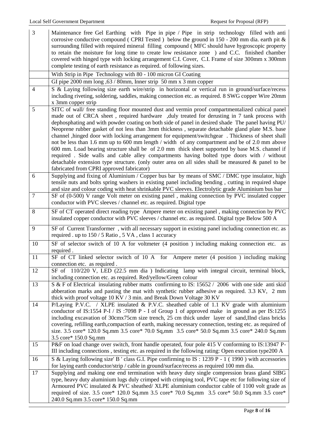| $\mathfrak{Z}$ | Maintenance free Gel Earthing with Pipe in pipe / Pipe in strip technology filled with anti                                                                                                         |  |  |
|----------------|-----------------------------------------------------------------------------------------------------------------------------------------------------------------------------------------------------|--|--|
|                | corrosive conductive compound (CPRI Tested) below the ground in $150 - 200$ mm dia. earth pit &                                                                                                     |  |  |
|                | surrounding filled with required mineral filling compound (MFC should have hygroscopic property<br>to retain the moisture for long time to create low resistance zone ) and C.C. finished chamber   |  |  |
|                | covered with hinged type with locking arrangement C.I. Cover, C.I. Frame of size 300mm x 300mm                                                                                                      |  |  |
|                | complete testing of earth resistance as required. of following sizes.                                                                                                                               |  |  |
|                | With Strip in Pipe Technology with 80 - 100 micron GI Coating                                                                                                                                       |  |  |
|                | GI pipe 2000 mm long ,63 / 80mm, Inner strip 50 mm x 3 mm copper                                                                                                                                    |  |  |
| $\overline{4}$ | S & Laying following size earth wire/strip in horizontal or vertical run in ground/surface/recess                                                                                                   |  |  |
|                | including riveting, soldering, saddles, making connection etc. as required. 8 SWG copper Wire 20mm                                                                                                  |  |  |
|                | x 3mm copper strip                                                                                                                                                                                  |  |  |
| 5              | SITC of wall/ free standing floor mounted dust and vermin proof compartmentalized cubical panel                                                                                                     |  |  |
|                | made out of CRCA sheet, required hardware, duly treated for derusting in 7 tank process with                                                                                                        |  |  |
|                | dephosphating and with powder coating on both side of panel in desired shade The panel having PU/                                                                                                   |  |  |
|                | Neoprene rubber gasket of not less than 3mm thickness, separate detachable gland plate M.S. base                                                                                                    |  |  |
|                | channel , hinged door with locking arrangement for equipment/switchgear . Thickness of sheet shall<br>not be less than 1.6 mm up to 600 mm length / width of any compartment and be of 2.0 mm above |  |  |
|                | 600 mm. Load bearing structure shall be of 2.0 mm thick sheet supported by base M.S. channel if                                                                                                     |  |  |
|                | required. Side walls and cable alley compartments having bolted type doors with / without                                                                                                           |  |  |
|                | detachable extension type structure. (only outer area on all sides shall be measured & panel to be                                                                                                  |  |  |
|                | fabricated from CPRI approved fabricator)                                                                                                                                                           |  |  |
| 6              | Supplying and fixing of Aluminium / Copper bus bar by means of SMC / DMC type insulator, high                                                                                                       |  |  |
|                | tensile nuts and bolts spring washers in existing panel including bending, cutting in required shape                                                                                                |  |  |
| $\tau$         | and size and colour coding with heat shrinkable PVC sleeves. Electrolytic grade Aluminium bus bar<br>SF of (0-500) V range Volt meter on existing panel, making connection by PVC insulated copper  |  |  |
|                | conductor with PVC sleeves / channel etc. as required. Digital type                                                                                                                                 |  |  |
| 8              | SF of CT operated direct reading type Ampere meter on existing panel, making connection by PVC                                                                                                      |  |  |
|                | insulated copper conductor with PVC sleeves / channel etc. as required. Digital type Below 500 A                                                                                                    |  |  |
| 9              | SF of Current Transformer, with all necessary support in existing panel including connection etc. as                                                                                                |  |  |
|                | required . up to 150 / 5 Ratio, 5 VA, class 1 accuracy                                                                                                                                              |  |  |
| 10             | SF of selector switch of 10 A for voltmeter (4 position ) including making connection etc. as                                                                                                       |  |  |
| 11             | required.<br>SF of CT linked selector switch of 10 A for Ampere meter (4 position ) including making                                                                                                |  |  |
|                | connection etc. as required.                                                                                                                                                                        |  |  |
| 12             | SF of 110/220 V, LED (22.5 mm dia) Indicating lamp with integral circuit, terminal block,                                                                                                           |  |  |
|                | including connection etc. as required. Red/yellow/Green colour                                                                                                                                      |  |  |
| 13             | S & F of Electrical insulating rubber matts confirming to IS: 15652 / 2006 with one side anti skid                                                                                                  |  |  |
|                | abberation marks and pasting the mat with synthetic rubber adhesive as required. 3.3 KV, 2 mm                                                                                                       |  |  |
|                | thick with proof voltage 10 KV / 3 min. and Break Down Voltage 30 KV                                                                                                                                |  |  |
| 14             | P/Laying P.V.C. / XLPE insulated & P.V.C. sheathed cable of 1.1 KV grade with aluminium<br>conductor of IS:1554 P-I / IS:7098 P - I of Group 1 of approved make in ground as per IS:1255            |  |  |
|                | including excavation of 30cmx75cm size trench, 25 cm thick under layer of sand, IInd class bricks                                                                                                   |  |  |
|                | covering, refilling earth, compaction of earth, making necessary connection, testing etc. as required of                                                                                            |  |  |
|                | size. 3.5 core* 120.0 Sq.mm 3.5 core* 70.0 Sq.mm 3.5 core* 50.0 Sq.mm 3.5 core* 240.0 Sq.mm                                                                                                         |  |  |
|                | 3.5 core* 150.0 Sq.mm                                                                                                                                                                               |  |  |
| 15             | P&F on load change over switch, front handle operated, four pole 415 V conforming to IS:13947 P-                                                                                                    |  |  |
|                | III including connections, testing etc. as required in the following rating: Open execution type200 A                                                                                               |  |  |
| 16             | S & Laying following size' B ' class G.I. Pipe confirming to IS: 1239 P - 1 (1990) with accessories                                                                                                 |  |  |
|                | for laying earth conductor/strip / cable in ground/surface/recess as required 100 mm dia.                                                                                                           |  |  |
| 17             | Supplying and making one end termination with heavy duty single compression brass gland SIBG                                                                                                        |  |  |
|                | type, heavy duty aluminium lugs duly crimped with crimping tool, PVC tape etc for following size of<br>Armoured PVC insulated & PVC sheathed/ XLPE aluminium conductor cable of 1100 volt grade as  |  |  |
|                | required of size. 3.5 core* 120.0 Sq.mm 3.5 core* 70.0 Sq.mm 3.5 core* 50.0 Sq.mm 3.5 core*                                                                                                         |  |  |
|                | 240.0 Sq.mm 3.5 core* 150.0 Sq.mm                                                                                                                                                                   |  |  |
|                |                                                                                                                                                                                                     |  |  |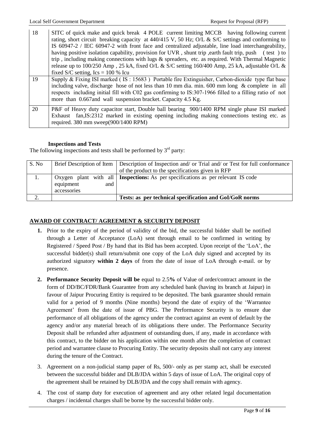| 18 | SITC of quick make and quick break 4 POLE current limiting MCCB having following current                                                                                                                                                                                                                                                                                             |  |  |  |  |
|----|--------------------------------------------------------------------------------------------------------------------------------------------------------------------------------------------------------------------------------------------------------------------------------------------------------------------------------------------------------------------------------------|--|--|--|--|
|    | rating, short circuit breaking capacity at $440/415$ V, 50 Hz; O/L & S/C settings and conforming to                                                                                                                                                                                                                                                                                  |  |  |  |  |
|    | IS 60947-2 / IEC 60947-2 with front face and centralized adjustable, line load interchangeability,                                                                                                                                                                                                                                                                                   |  |  |  |  |
|    | having positive isolation capability, provision for UVR, shunt trip, earth fault trip, push (test) to                                                                                                                                                                                                                                                                                |  |  |  |  |
|    | trip, including making connections with lugs $\&$ spreaders, etc. as required. With Thermal Magnetic                                                                                                                                                                                                                                                                                 |  |  |  |  |
|    | release up to 100/250 Amp, 25 kA, fixed O/L & S/C setting 160/400 Amp, 25 kA, adjustable O/L &                                                                                                                                                                                                                                                                                       |  |  |  |  |
|    | fixed S/C setting, $\text{Ics} = 100\% \text{ Icu}$                                                                                                                                                                                                                                                                                                                                  |  |  |  |  |
| 19 | Supply & Fixing ISI marked (IS: $15683$ ) Portable fire Extinguisher, Carbon-dioxide type flat base<br>including valve, discharge hose of not less than 10 mm dia. min. 600 mm long $\&$ complete in all<br>respects including initial fill with C02 gas confirming to IS:307-1966 filled to a filling ratio of not<br>more than 0.667 and wall suspension bracket. Capacity 4.5 Kg. |  |  |  |  |
| 20 | P&F of Heavy duty capacitor start, Double ball bearing 900/1400 RPM single phase ISI marked<br>Exhaust fan, IS:2312 marked in existing opening including making connections testing etc. as<br>required. $380 \text{ mm}$ sweep $(900/1400 \text{ RPM})$                                                                                                                             |  |  |  |  |

#### **Inspections and Tests**

The following inspections and tests shall be performed by  $3<sup>rd</sup>$  party:

| S. No |                                   | Brief Description of Item   Description of Inspection and/ or Trial and/ or Test for full conformance<br>of the product to the specifications given in RFP |
|-------|-----------------------------------|------------------------------------------------------------------------------------------------------------------------------------------------------------|
|       | equipment<br>and 1<br>accessories | Oxygen plant with all <b>Inspections:</b> As per specifications as per relevant IS code                                                                    |
|       |                                   | Tests: as per technical specification and GoI/GoR norms                                                                                                    |

## **AWARD OF CONTRACT/ AGREEMENT & SECURITY DEPOSIT**

- **1.** Prior to the expiry of the period of validity of the bid, the successful bidder shall be notified through a Letter of Acceptance (LoA) sent through email to be confirmed in writing by Registered / Speed Post / By hand that its Bid has been accepted. Upon receipt of the "LoA", the successful bidder(s) shall return/submit one copy of the LoA duly signed and accepted by its authorized signatory **within 2 days** of from the date of issue of LoA through e-mail. or by presence.
- **2. Performance Security Deposit will be** equal to 2.5**%** of Value of order/contract amount in the form of DD/BC/FDR/Bank Guarantee from any scheduled bank (having its branch at Jaipur) in favour of Jaipur Procuring Entity is required to be deposited. The bank guarantee should remain valid for a period of 9 months (Nine months) beyond the date of expiry of the "Warrantee Agreement" from the date of issue of PBG. The Performance Security is to ensure due performance of all obligations of the agency under the contract against an event of default by the agency and/or any material breach of its obligations there under. The Performance Security Deposit shall be refunded after adjustment of outstanding dues, if any, made in accordance with this contract, to the bidder on his application within one month after the completion of contract period and warrantee clause to Procuring Entity. The security deposits shall not carry any interest during the tenure of the Contract.
- 3. Agreement on a non-judicial stamp paper of Rs, 500/- only as per stamp act, shall be executed between the successful bidder and DLB/JDA within 5 days of issue of LoA. The original copy of the agreement shall be retained by DLB/JDA and the copy shall remain with agency.
- 4. The cost of stamp duty for execution of agreement and any other related legal documentation charges / incidental charges shall be borne by the successful bidder only.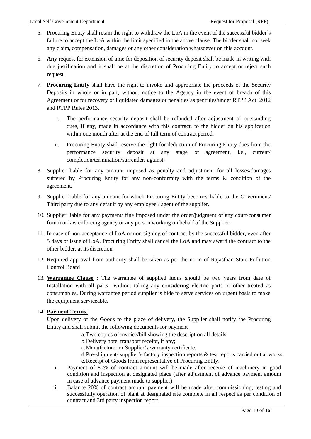- 5. Procuring Entity shall retain the right to withdraw the LoA in the event of the successful bidder"s failure to accept the LoA within the limit specified in the above clause. The bidder shall not seek any claim, compensation, damages or any other consideration whatsoever on this account.
- 6. **Any** request for extension of time for deposition of security deposit shall be made in writing with due justification and it shall be at the discretion of Procuring Entity to accept or reject such request.
- 7. **Procuring Entity** shall have the right to invoke and appropriate the proceeds of the Security Deposits in whole or in part, without notice to the Agency in the event of breach of this Agreement or for recovery of liquidated damages or penalties as per rules/under RTPP Act 2012 and RTPP Rules 2013.
	- i. The performance security deposit shall be refunded after adjustment of outstanding dues, if any, made in accordance with this contract, to the bidder on his application within one month after at the end of full term of contract period.
	- ii. Procuring Entity shall reserve the right for deduction of Procuring Entity dues from the performance security deposit at any stage of agreement, i.e., current/ completion/termination/surrender, against:
- 8. Supplier liable for any amount imposed as penalty and adjustment for all losses/damages suffered by Procuring Entity for any non-conformity with the terms & condition of the agreement.
- 9. Supplier liable for any amount for which Procuring Entity becomes liable to the Government/ Third party due to any default by any employee / agent of the supplier.
- 10. Supplier liable for any payment/ fine imposed under the order/judgment of any court/consumer forum or law enforcing agency or any person working on behalf of the Supplier.
- 11. In case of non-acceptance of LoA or non-signing of contract by the successful bidder, even after 5 days of issue of LoA, Procuring Entity shall cancel the LoA and may award the contract to the other bidder, at its discretion.
- 12. Required approval from authority shall be taken as per the norm of Rajasthan State Pollution Control Board
- 13. **Warrantee Clause** : The warrantee of supplied items should be two years from date of Installation with all parts without taking any considering electric parts or other treated as consumables. During warrantee period supplier is bide to serve services on urgent basis to make the equipment serviceable.

### 14. **Payment Terms**:

Upon delivery of the Goods to the place of delivery, the Supplier shall notify the Procuring Entity and shall submit the following documents for payment

- a.Two copies of invoice/bill showing the description all details
- b.Delivery note, transport receipt, if any;
- c. Manufacturer or Supplier's warranty certificate;
- d. Pre-shipment/ supplier's factory inspection reports & test reports carried out at works. e.Receipt of Goods from representative of Procuring Entity.
- i. Payment of 80% of contract amount will be made after receive of machinery in good condition and inspection at designated place (after adjustment of advance payment amount in case of advance payment made to supplier)
- ii. Balance 20% of contract amount payment will be made after commissioning, testing and successfully operation of plant at designated site complete in all respect as per condition of contract and 3rd party inspection report.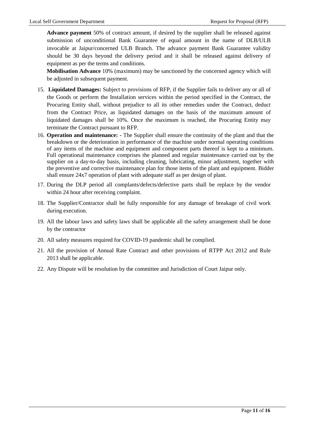**Advance payment** 50% of contract amount, if desired by the supplier shall be released against submission of unconditional Bank Guarantee of equal amount in the name of DLB/ULB invocable at Jaipur/concerned ULB Branch. The advance payment Bank Guarantee validity should be 30 days beyond the delivery period and it shall be released against delivery of equipment as per the terms and conditions.

**Mobilisation Advance** 10% (maximum) may be sanctioned by the concerned agency which will be adjusted in subsequent payment.

- 15. **Liquidated Damages:** Subject to provisions of RFP, if the Supplier fails to deliver any or all of the Goods or perform the Installation services within the period specified in the Contract, the Procuring Entity shall, without prejudice to all its other remedies under the Contract, deduct from the Contract Price, as liquidated damages on the basis of the maximum amount of liquidated damages shall be 10%. Once the maximum is reached, the Procuring Entity may terminate the Contract pursuant to RFP.
- 16. **Operation and maintenance: -** The Supplier shall ensure the continuity of the plant and that the breakdown or the deterioration in performance of the machine under normal operating conditions of any items of the machine and equipment and component parts thereof is kept to a minimum. Full operational maintenance comprises the planned and regular maintenance carried out by the supplier on a day-to-day basis, including cleaning, lubricating, minor adjustment, together with the preventive and corrective maintenance plan for those items of the plant and equipment. Bidder shall ensure 24x7 operation of plant with adequate staff as per design of plant.
- 17. During the DLP period all complants/defects/defective parts shall be replace by the vendor within 24 hour after receiving complaint.
- 18. The Supplier/Contractor shall be fully responsible for any damage of breakage of civil work during execution.
- 19. All the labour laws and safety laws shall be applicable all the safety arrangement shall be done by the contractor
- 20. All safety measures required for COVID-19 pandemic shall be complied.
- 21. All the provision of Annual Rate Contract and other provisions of RTPP Act 2012 and Rule 2013 shall be applicable.
- 22. Any Dispute will be resolution by the committee and Jurisdiction of Court Jaipur only.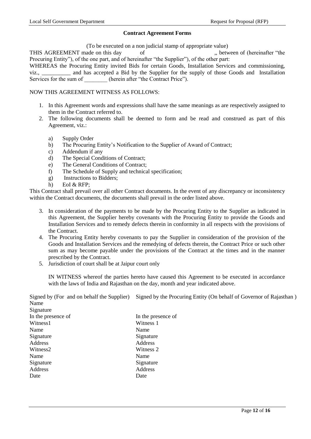#### **Contract Agreement Forms**

(To be executed on a non judicial stamp of appropriate value)

THIS AGREEMENT made on this day of ,, between of (hereinafter "the Procuring Entity"), of the one part, and of hereinafter "the Supplier"), of the other part:

WHEREAS the Procuring Entity invited Bids for certain Goods, Installation Services and commissioning, viz., \_\_\_\_\_\_\_\_\_\_ and has accepted a Bid by the Supplier for the supply of those Goods and Installation Services for the sum of (herein after "the Contract Price").

#### NOW THIS AGREEMENT WITNESS AS FOLLOWS:

- 1. In this Agreement words and expressions shall have the same meanings as are respectively assigned to them in the Contract referred to.
- 2. The following documents shall be deemed to form and be read and construed as part of this Agreement, viz.:
	- a) Supply Order
	- b) The Procuring Entity"s Notification to the Supplier of Award of Contract;
	- c) Addendum if any
	- d) The Special Conditions of Contract;
	- e) The General Conditions of Contract;
	- f) The Schedule of Supply and technical specification;
	- g) Instructions to Bidders;
	- h) EoI & RFP;

This Contract shall prevail over all other Contract documents. In the event of any discrepancy or inconsistency within the Contract documents, the documents shall prevail in the order listed above.

- 3. In consideration of the payments to be made by the Procuring Entity to the Supplier as indicated in this Agreement, the Supplier hereby covenants with the Procuring Entity to provide the Goods and Installation Services and to remedy defects therein in conformity in all respects with the provisions of the Contract.
- 4. The Procuring Entity hereby covenants to pay the Supplier in consideration of the provision of the Goods and Installation Services and the remedying of defects therein, the Contract Price or such other sum as may become payable under the provisions of the Contract at the times and in the manner prescribed by the Contract.
- 5. Jurisdiction of court shall be at Jaipur court only

IN WITNESS whereof the parties hereto have caused this Agreement to be executed in accordance with the laws of India and Rajasthan on the day, month and year indicated above.

Signed by (For and on behalf the Supplier) Signed by the Procuring Entity (On behalf of Governor of Rajasthan ) Name  $\mathbf{S}$  is a subset of  $\mathbf{S}$ 

| Signature          |                    |
|--------------------|--------------------|
| In the presence of | In the presence of |
| Witness1           | Witness 1          |
| Name               | Name               |
| Signature          | Signature          |
| Address            | Address            |
| Witness2           | Witness 2          |
| Name               | Name               |
| Signature          | Signature          |
| Address            | Address            |
| Date               | Date               |
|                    |                    |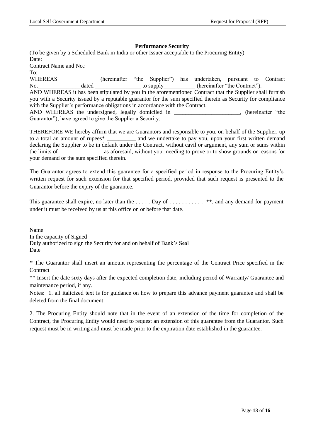#### **Performance Security**

(To be given by a Scheduled Bank in India or other Issuer acceptable to the Procuring Entity) Date: Contract Name and No.: To:

WHEREAS (hereinafter "the Supplier") has undertaken, pursuant to Contract No. dated dated to supply the contract". AND WHEREAS it has been stipulated by you in the aforementioned Contract that the Supplier shall furnish you with a Security issued by a reputable guarantor for the sum specified therein as Security for compliance with the Supplier's performance obligations in accordance with the Contract. AND WHEREAS the undersigned, legally domiciled in , (hereinafter "the

Guarantor"), have agreed to give the Supplier a Security:

THEREFORE WE hereby affirm that we are Guarantors and responsible to you, on behalf of the Supplier, up to a total an amount of rupees\* \_\_\_\_\_\_\_\_\_\_ and we undertake to pay you, upon your first written demand declaring the Supplier to be in default under the Contract, without cavil or argument, any sum or sums within the limits of \_\_\_\_\_\_\_\_\_\_\_\_\_\_\_ as aforesaid, without your needing to prove or to show grounds or reasons for your demand or the sum specified therein.

The Guarantor agrees to extend this guarantee for a specified period in response to the Procuring Entity"s written request for such extension for that specified period, provided that such request is presented to the Guarantor before the expiry of the guarantee.

This guarantee shall expire, no later than the ..... Day of ...., ....... \*\*, and any demand for payment under it must be received by us at this office on or before that date.

Name In the capacity of Signed Duly authorized to sign the Security for and on behalf of Bank"s Seal Date

*\** The Guarantor shall insert an amount representing the percentage of the Contract Price specified in the **Contract** 

\*\* Insert the date sixty days after the expected completion date, including period of Warranty/ Guarantee and maintenance period, if any.

Notes: 1. all italicized text is for guidance on how to prepare this advance payment guarantee and shall be deleted from the final document.

2. The Procuring Entity should note that in the event of an extension of the time for completion of the Contract, the Procuring Entity would need to request an extension of this guarantee from the Guarantor. Such request must be in writing and must be made prior to the expiration date established in the guarantee.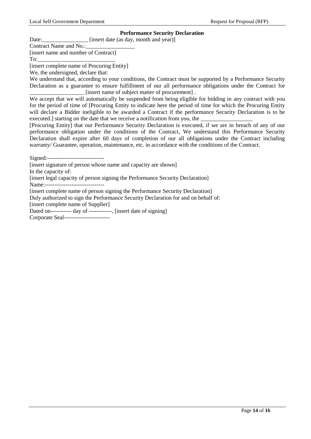#### **Performance Security Declaration**

Date:\_\_\_\_\_\_\_\_\_\_\_\_\_\_\_\_\_\_\_\_\_ [insert date (as day, month and year)]

Contract Name and No.: [insert name and number of Contract]

To:

[insert complete name of Procuring Entity]

We, the undersigned, declare that:

We understand that, according to your conditions, the Contract must be supported by a Performance Security Declaration as a guarantee to ensure fulfillment of our all performance obligations under the Contract for [insert name of subject matter of procurement].

We accept that we will automatically be suspended from being eligible for bidding in any contract with you for the period of time of [Procuring Entity to indicate here the period of time for which the Procuring Entity will declare a Bidder ineligible to be awarded a Contract if the performance Security Declaration is to be executed.] starting on the date that we receive a notification from you, the

[Procuring Entity] that our Performance Security Declaration is executed, if we are in breach of any of our performance obligation under the conditions of the Contract, We understand this Performance Security Declaration shall expire after 60 days of completion of our all obligations under the Contract including warranty/ Guarantee, operation, maintenance, etc. in accordance with the conditions of the Contract.

Signed:------------------------------ [insert signature of person whose name and capacity are shown] In the capacity of: [insert legal capacity of person signing the Performance Security Declaration] Name:---------------[insert complete name of person signing the Performance Security Declaration] Duly authorized to sign the Performance Security Declaration for and on behalf of: [insert complete name of Supplier] Dated on----------- day of ------------, [insert date of signing] Corporate Seal------------------------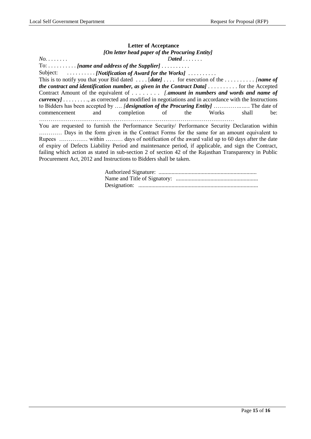## **Letter of Acceptance** *[On letter head paper of the Procuring Entity]*

*No. . . . . . . . Dated . . . . . . .* To: . . . . . . . . . . *[name and address of the Supplier]* . . . . . . . . . . Subject: . . . . . . . . . . *[Notification of Award for the Works]* . . . . . . . . . . This is to notify you that your Bid dated . . . . [*date]* . . . . for execution of the *. . . . . . . . . . [name of the contract and identification number, as given in the Contract Data] . . . . . . . . . .* for the Accepted Contract Amount of the equivalent of *. . . . . . . . [.amount in numbers and words and name of currency] . . . . . . . . .*, as corrected and modified in negotiations and in accordance with the Instructions to Bidders has been accepted by …. *[designation of the Procuring Entity]* …………*…….*. The date of commencement and completion of the Works shall be: ………………………………………………………………………………………… You are requested to furnish the Performance Security/ Performance Security Declaration within ………… Days in the form given in the Contract Forms for the same for an amount equivalent to Rupees …………… within ……… days of notification of the award valid up to 60 days after the date of expiry of Defects Liability Period and maintenance period, if applicable, and sign the Contract,

failing which action as stated in sub-section 2 of section 42 of the Rajasthan Transparency in Public

Procurement Act, 2012 and Instructions to Bidders shall be taken.